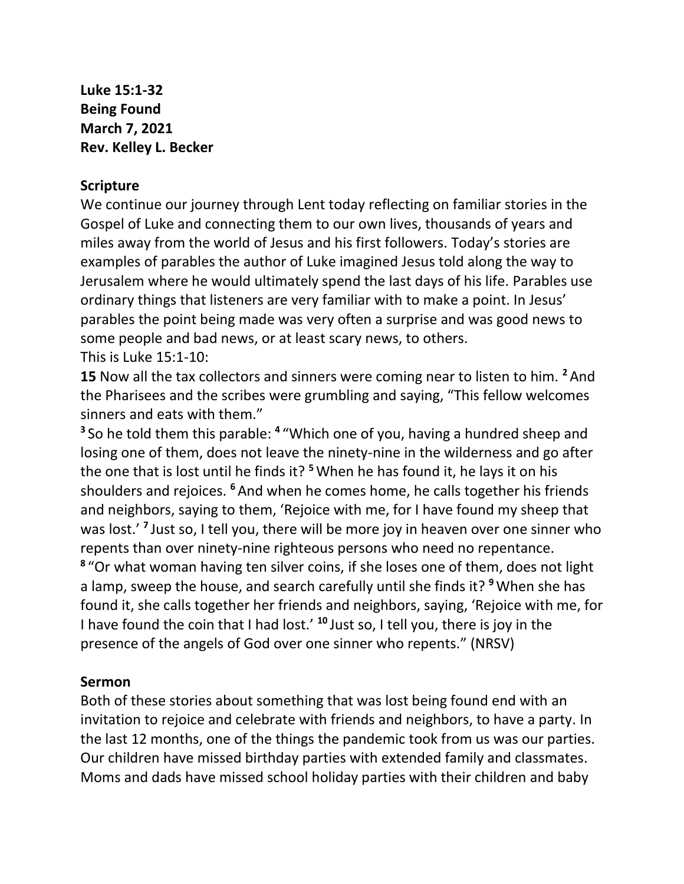**Luke 15:1-32 Being Found March 7, 2021 Rev. Kelley L. Becker**

## **Scripture**

We continue our journey through Lent today reflecting on familiar stories in the Gospel of Luke and connecting them to our own lives, thousands of years and miles away from the world of Jesus and his first followers. Today's stories are examples of parables the author of Luke imagined Jesus told along the way to Jerusalem where he would ultimately spend the last days of his life. Parables use ordinary things that listeners are very familiar with to make a point. In Jesus' parables the point being made was very often a surprise and was good news to some people and bad news, or at least scary news, to others. This is Luke 15:1-10:

**15** Now all the tax collectors and sinners were coming near to listen to him. **<sup>2</sup>** And the Pharisees and the scribes were grumbling and saying, "This fellow welcomes sinners and eats with them."

**3** So he told them this parable: **<sup>4</sup>** "Which one of you, having a hundred sheep and losing one of them, does not leave the ninety-nine in the wilderness and go after the one that is lost until he finds it? **<sup>5</sup>**When he has found it, he lays it on his shoulders and rejoices. **<sup>6</sup>** And when he comes home, he calls together his friends and neighbors, saying to them, 'Rejoice with me, for I have found my sheep that was lost.'<sup>7</sup> Just so, I tell you, there will be more joy in heaven over one sinner who repents than over ninety-nine righteous persons who need no repentance. **8** "Or what woman having ten silver coins, if she loses one of them, does not light a lamp, sweep the house, and search carefully until she finds it? **<sup>9</sup>**When she has found it, she calls together her friends and neighbors, saying, 'Rejoice with me, for I have found the coin that I had lost.' **<sup>10</sup>** Just so, I tell you, there is joy in the presence of the angels of God over one sinner who repents." (NRSV)

## **Sermon**

Both of these stories about something that was lost being found end with an invitation to rejoice and celebrate with friends and neighbors, to have a party. In the last 12 months, one of the things the pandemic took from us was our parties. Our children have missed birthday parties with extended family and classmates. Moms and dads have missed school holiday parties with their children and baby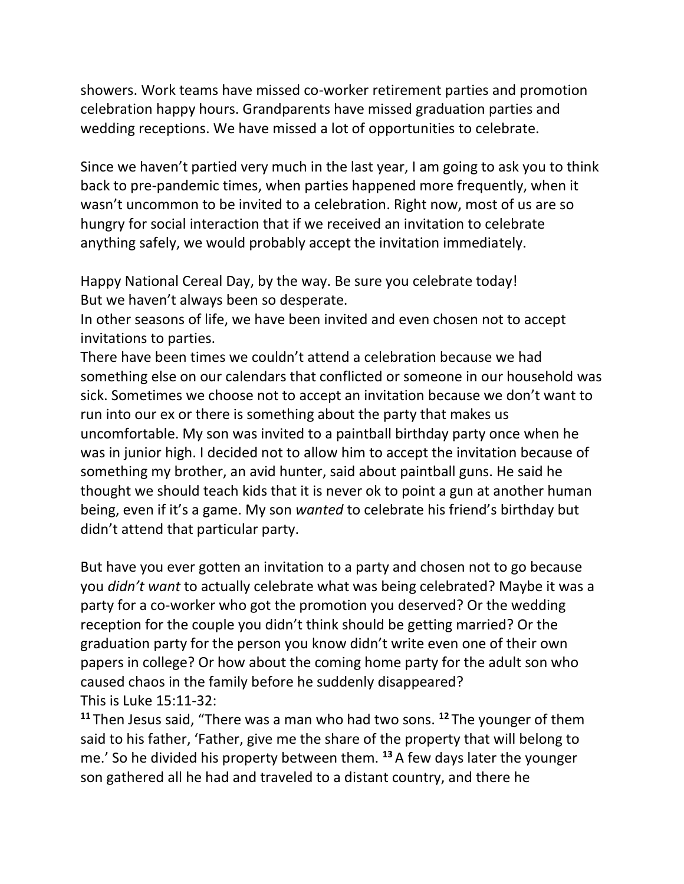showers. Work teams have missed co-worker retirement parties and promotion celebration happy hours. Grandparents have missed graduation parties and wedding receptions. We have missed a lot of opportunities to celebrate.

Since we haven't partied very much in the last year, I am going to ask you to think back to pre-pandemic times, when parties happened more frequently, when it wasn't uncommon to be invited to a celebration. Right now, most of us are so hungry for social interaction that if we received an invitation to celebrate anything safely, we would probably accept the invitation immediately.

Happy National Cereal Day, by the way. Be sure you celebrate today! But we haven't always been so desperate.

In other seasons of life, we have been invited and even chosen not to accept invitations to parties.

There have been times we couldn't attend a celebration because we had something else on our calendars that conflicted or someone in our household was sick. Sometimes we choose not to accept an invitation because we don't want to run into our ex or there is something about the party that makes us uncomfortable. My son was invited to a paintball birthday party once when he was in junior high. I decided not to allow him to accept the invitation because of something my brother, an avid hunter, said about paintball guns. He said he thought we should teach kids that it is never ok to point a gun at another human being, even if it's a game. My son *wanted* to celebrate his friend's birthday but didn't attend that particular party.

But have you ever gotten an invitation to a party and chosen not to go because you *didn't want* to actually celebrate what was being celebrated? Maybe it was a party for a co-worker who got the promotion you deserved? Or the wedding reception for the couple you didn't think should be getting married? Or the graduation party for the person you know didn't write even one of their own papers in college? Or how about the coming home party for the adult son who caused chaos in the family before he suddenly disappeared? This is Luke 15:11-32:

**<sup>11</sup>** Then Jesus said, "There was a man who had two sons. **<sup>12</sup>** The younger of them said to his father, 'Father, give me the share of the property that will belong to me.' So he divided his property between them. **<sup>13</sup>** A few days later the younger son gathered all he had and traveled to a distant country, and there he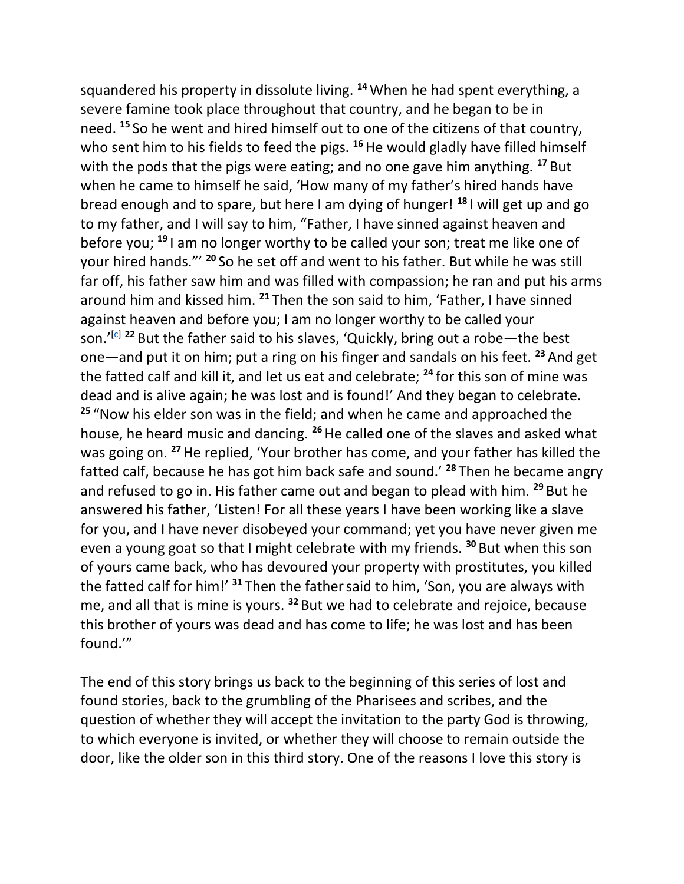squandered his property in dissolute living. **<sup>14</sup>**When he had spent everything, a severe famine took place throughout that country, and he began to be in need. **<sup>15</sup>** So he went and hired himself out to one of the citizens of that country, who sent him to his fields to feed the pigs. <sup>16</sup>He would gladly have filled himself with the pods that the pigs were eating; and no one gave him anything. **<sup>17</sup>** But when he came to himself he said, 'How many of my father's hired hands have bread enough and to spare, but here I am dying of hunger! **<sup>18</sup>** I will get up and go to my father, and I will say to him, "Father, I have sinned against heaven and before you; **<sup>19</sup>** I am no longer worthy to be called your son; treat me like one of your hired hands."' **<sup>20</sup>** So he set off and went to his father. But while he was still far off, his father saw him and was filled with compassion; he ran and put his arms around him and kissed him. **<sup>21</sup>** Then the son said to him, 'Father, I have sinned against heaven and before you; I am no longer worthy to be called your son.'<sup>[\[c\]](https://www.biblegateway.com/passage/?search=Luke%2015%3A11-32&version=NRSV#fen-NRSV-25602c)</sup> <sup>22</sup> But the father said to his slaves, 'Quickly, bring out a robe—the best one—and put it on him; put a ring on his finger and sandals on his feet. **<sup>23</sup>** And get the fatted calf and kill it, and let us eat and celebrate; **<sup>24</sup>** for this son of mine was dead and is alive again; he was lost and is found!' And they began to celebrate. **<sup>25</sup>** "Now his elder son was in the field; and when he came and approached the house, he heard music and dancing. **<sup>26</sup>**He called one of the slaves and asked what was going on. **<sup>27</sup>**He replied, 'Your brother has come, and your father has killed the fatted calf, because he has got him back safe and sound.' **<sup>28</sup>** Then he became angry and refused to go in. His father came out and began to plead with him. **<sup>29</sup>** But he answered his father, 'Listen! For all these years I have been working like a slave for you, and I have never disobeyed your command; yet you have never given me even a young goat so that I might celebrate with my friends. **<sup>30</sup>** But when this son of yours came back, who has devoured your property with prostitutes, you killed the fatted calf for him!' **<sup>31</sup>** Then the fathersaid to him, 'Son, you are always with me, and all that is mine is yours. **<sup>32</sup>** But we had to celebrate and rejoice, because this brother of yours was dead and has come to life; he was lost and has been found.'"

The end of this story brings us back to the beginning of this series of lost and found stories, back to the grumbling of the Pharisees and scribes, and the question of whether they will accept the invitation to the party God is throwing, to which everyone is invited, or whether they will choose to remain outside the door, like the older son in this third story. One of the reasons I love this story is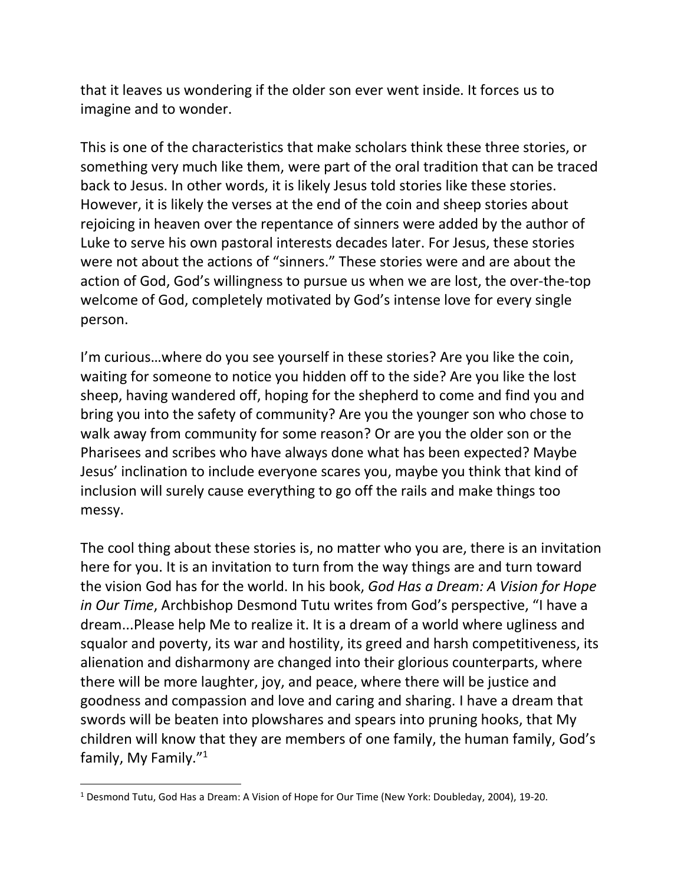that it leaves us wondering if the older son ever went inside. It forces us to imagine and to wonder.

This is one of the characteristics that make scholars think these three stories, or something very much like them, were part of the oral tradition that can be traced back to Jesus. In other words, it is likely Jesus told stories like these stories. However, it is likely the verses at the end of the coin and sheep stories about rejoicing in heaven over the repentance of sinners were added by the author of Luke to serve his own pastoral interests decades later. For Jesus, these stories were not about the actions of "sinners." These stories were and are about the action of God, God's willingness to pursue us when we are lost, the over-the-top welcome of God, completely motivated by God's intense love for every single person.

I'm curious…where do you see yourself in these stories? Are you like the coin, waiting for someone to notice you hidden off to the side? Are you like the lost sheep, having wandered off, hoping for the shepherd to come and find you and bring you into the safety of community? Are you the younger son who chose to walk away from community for some reason? Or are you the older son or the Pharisees and scribes who have always done what has been expected? Maybe Jesus' inclination to include everyone scares you, maybe you think that kind of inclusion will surely cause everything to go off the rails and make things too messy.

The cool thing about these stories is, no matter who you are, there is an invitation here for you. It is an invitation to turn from the way things are and turn toward the vision God has for the world. In his book, *God Has a Dream: A Vision for Hope in Our Time*, Archbishop Desmond Tutu writes from God's perspective, "I have a dream...Please help Me to realize it. It is a dream of a world where ugliness and squalor and poverty, its war and hostility, its greed and harsh competitiveness, its alienation and disharmony are changed into their glorious counterparts, where there will be more laughter, joy, and peace, where there will be justice and goodness and compassion and love and caring and sharing. I have a dream that swords will be beaten into plowshares and spears into pruning hooks, that My children will know that they are members of one family, the human family, God's family, My Family."<sup>1</sup>

<sup>1</sup> Desmond Tutu, God Has a Dream: A Vision of Hope for Our Time (New York: Doubleday, 2004), 19-20.